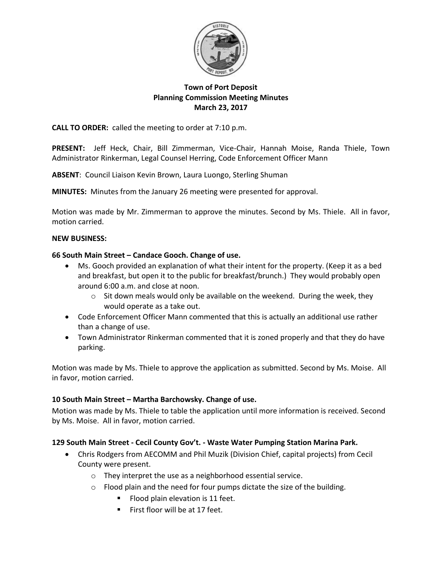

# **Town of Port Deposit Planning Commission Meeting Minutes March 23, 2017**

**CALL TO ORDER:** called the meeting to order at 7:10 p.m.

**PRESENT:** Jeff Heck, Chair, Bill Zimmerman, Vice-Chair, Hannah Moise, Randa Thiele, Town Administrator Rinkerman, Legal Counsel Herring, Code Enforcement Officer Mann

**ABSENT**: Council Liaison Kevin Brown, Laura Luongo, Sterling Shuman

**MINUTES:** Minutes from the January 26 meeting were presented for approval.

Motion was made by Mr. Zimmerman to approve the minutes. Second by Ms. Thiele. All in favor, motion carried.

## **NEW BUSINESS:**

## **66 South Main Street – Candace Gooch. Change of use.**

- Ms. Gooch provided an explanation of what their intent for the property. (Keep it as a bed and breakfast, but open it to the public for breakfast/brunch.) They would probably open around 6:00 a.m. and close at noon.
	- $\circ$  Sit down meals would only be available on the weekend. During the week, they would operate as a take out.
- Code Enforcement Officer Mann commented that this is actually an additional use rather than a change of use.
- Town Administrator Rinkerman commented that it is zoned properly and that they do have parking.

Motion was made by Ms. Thiele to approve the application as submitted. Second by Ms. Moise. All in favor, motion carried.

## **10 South Main Street – Martha Barchowsky. Change of use.**

Motion was made by Ms. Thiele to table the application until more information is received. Second by Ms. Moise. All in favor, motion carried.

## **129 South Main Street - Cecil County Gov't. - Waste Water Pumping Station Marina Park.**

- Chris Rodgers from AECOMM and Phil Muzik (Division Chief, capital projects) from Cecil County were present.
	- o They interpret the use as a neighborhood essential service.
	- o Flood plain and the need for four pumps dictate the size of the building.
		- Flood plain elevation is 11 feet.
		- First floor will be at 17 feet.